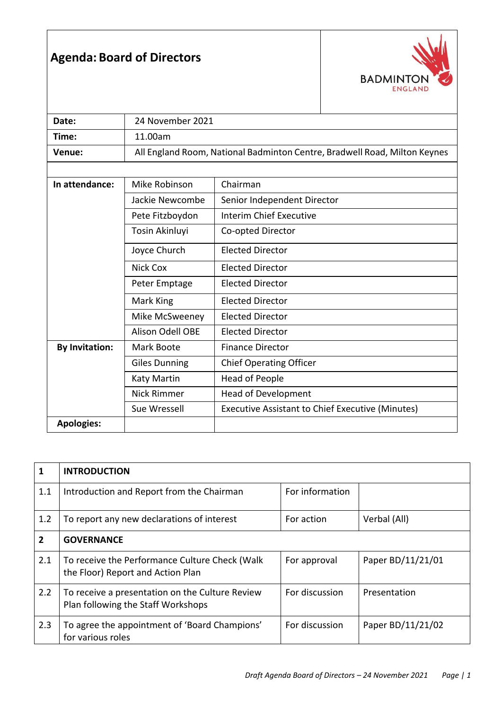## **Agenda: Board of Directors**



| Date:                 | 24 November 2021                                                          |                                                  |  |  |  |
|-----------------------|---------------------------------------------------------------------------|--------------------------------------------------|--|--|--|
| Time:                 | 11.00am                                                                   |                                                  |  |  |  |
| Venue:                | All England Room, National Badminton Centre, Bradwell Road, Milton Keynes |                                                  |  |  |  |
|                       |                                                                           |                                                  |  |  |  |
| In attendance:        | Mike Robinson                                                             | Chairman                                         |  |  |  |
|                       | Jackie Newcombe                                                           | Senior Independent Director                      |  |  |  |
|                       | Pete Fitzboydon                                                           | <b>Interim Chief Executive</b>                   |  |  |  |
|                       | Tosin Akinluyi                                                            | Co-opted Director                                |  |  |  |
|                       | Joyce Church                                                              | <b>Elected Director</b>                          |  |  |  |
|                       | <b>Nick Cox</b>                                                           | <b>Elected Director</b>                          |  |  |  |
|                       | Peter Emptage                                                             | <b>Elected Director</b>                          |  |  |  |
|                       | Mark King                                                                 | <b>Elected Director</b>                          |  |  |  |
|                       | Mike McSweeney                                                            | <b>Elected Director</b>                          |  |  |  |
|                       | Alison Odell OBE                                                          | <b>Elected Director</b>                          |  |  |  |
| <b>By Invitation:</b> | Mark Boote                                                                | <b>Finance Director</b>                          |  |  |  |
|                       | <b>Giles Dunning</b>                                                      | <b>Chief Operating Officer</b>                   |  |  |  |
|                       | Katy Martin                                                               | Head of People                                   |  |  |  |
|                       | <b>Nick Rimmer</b>                                                        | Head of Development                              |  |  |  |
|                       | Sue Wressell                                                              | Executive Assistant to Chief Executive (Minutes) |  |  |  |
| <b>Apologies:</b>     |                                                                           |                                                  |  |  |  |

| 1   | <b>INTRODUCTION</b>                                                                   |                 |                   |  |  |
|-----|---------------------------------------------------------------------------------------|-----------------|-------------------|--|--|
| 1.1 | Introduction and Report from the Chairman                                             | For information |                   |  |  |
| 1.2 | To report any new declarations of interest                                            | For action      | Verbal (All)      |  |  |
| 2   | <b>GOVERNANCE</b>                                                                     |                 |                   |  |  |
| 2.1 | To receive the Performance Culture Check (Walk<br>the Floor) Report and Action Plan   | For approval    | Paper BD/11/21/01 |  |  |
| 2.2 | To receive a presentation on the Culture Review<br>Plan following the Staff Workshops | For discussion  | Presentation      |  |  |
| 2.3 | To agree the appointment of 'Board Champions'<br>for various roles                    | For discussion  | Paper BD/11/21/02 |  |  |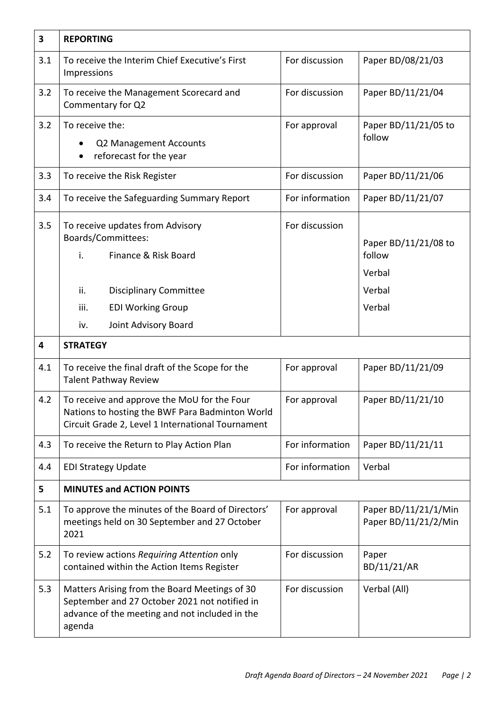| 3   | <b>REPORTING</b>                                                                                                                                                 |                 |                                                              |  |  |
|-----|------------------------------------------------------------------------------------------------------------------------------------------------------------------|-----------------|--------------------------------------------------------------|--|--|
| 3.1 | To receive the Interim Chief Executive's First<br>Impressions                                                                                                    | For discussion  | Paper BD/08/21/03                                            |  |  |
| 3.2 | To receive the Management Scorecard and<br>Commentary for Q2                                                                                                     | For discussion  | Paper BD/11/21/04                                            |  |  |
| 3.2 | To receive the:<br>Q2 Management Accounts<br>reforecast for the year                                                                                             | For approval    | Paper BD/11/21/05 to<br>follow                               |  |  |
| 3.3 | To receive the Risk Register                                                                                                                                     | For discussion  | Paper BD/11/21/06                                            |  |  |
| 3.4 | To receive the Safeguarding Summary Report                                                                                                                       | For information | Paper BD/11/21/07                                            |  |  |
| 3.5 | To receive updates from Advisory<br>Boards/Committees:<br>Finance & Risk Board<br>i.<br>ii.<br><b>Disciplinary Committee</b><br>iii.<br><b>EDI Working Group</b> | For discussion  | Paper BD/11/21/08 to<br>follow<br>Verbal<br>Verbal<br>Verbal |  |  |
|     | Joint Advisory Board<br>iv.                                                                                                                                      |                 |                                                              |  |  |
| 4   | <b>STRATEGY</b>                                                                                                                                                  |                 |                                                              |  |  |
| 4.1 | To receive the final draft of the Scope for the<br><b>Talent Pathway Review</b>                                                                                  | For approval    | Paper BD/11/21/09                                            |  |  |
| 4.2 | To receive and approve the MoU for the Four<br>Nations to hosting the BWF Para Badminton World<br>Circuit Grade 2, Level 1 International Tournament              | For approval    | Paper BD/11/21/10                                            |  |  |
| 4.3 | To receive the Return to Play Action Plan                                                                                                                        | For information | Paper BD/11/21/11                                            |  |  |
| 4.4 | <b>EDI Strategy Update</b>                                                                                                                                       | For information | Verbal                                                       |  |  |
| 5   | <b>MINUTES and ACTION POINTS</b>                                                                                                                                 |                 |                                                              |  |  |
| 5.1 | To approve the minutes of the Board of Directors'<br>meetings held on 30 September and 27 October<br>2021                                                        | For approval    | Paper BD/11/21/1/Min<br>Paper BD/11/21/2/Min                 |  |  |
| 5.2 | To review actions Requiring Attention only<br>contained within the Action Items Register                                                                         | For discussion  | Paper<br>BD/11/21/AR                                         |  |  |
| 5.3 | Matters Arising from the Board Meetings of 30<br>September and 27 October 2021 not notified in<br>advance of the meeting and not included in the<br>agenda       | For discussion  | Verbal (All)                                                 |  |  |